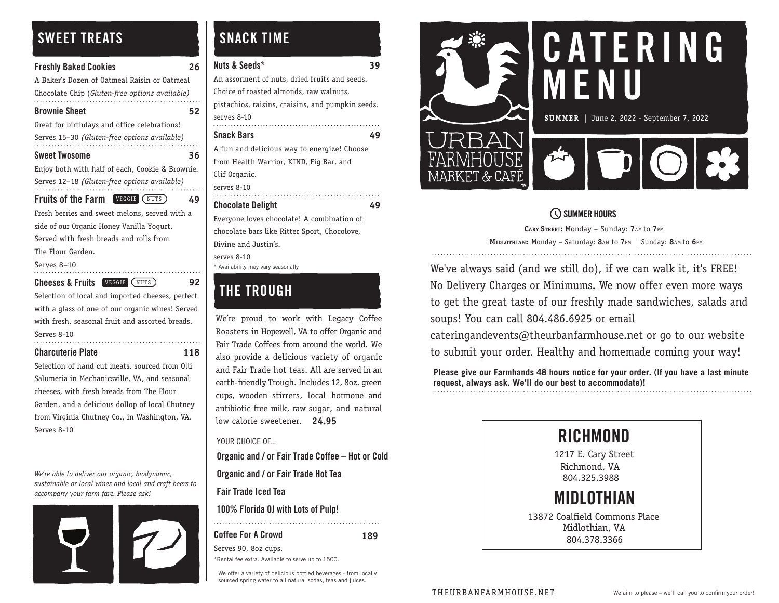# SWEET TREATS

| <b>Freshly Baked Cookies</b>                    | 26 |  |
|-------------------------------------------------|----|--|
| A Baker's Dozen of Oatmeal Raisin or Oatmeal    |    |  |
| Chocolate Chip (Gluten-free options available)  |    |  |
| <b>Brownie Sheet</b>                            | 52 |  |
| Great for birthdays and office celebrations!    |    |  |
| Serves 15-30 (Gluten-free options available)    |    |  |
| Sweet Twosome                                   | 36 |  |
| Enjoy both with half of each, Cookie & Brownie. |    |  |
| Serves 12-18 (Gluten-free options available)    |    |  |
| <b>Fruits of the Farm VEGGIE (NUTS)</b>         | 49 |  |
| Fresh berries and sweet melons, served with a   |    |  |
| side of our Organic Honey Vanilla Yogurt.       |    |  |
| Served with fresh breads and rolls from         |    |  |
| The Flour Garden.                               |    |  |
| <b>C</b> 0 40                                   |    |  |

Serves 8–10

Cheeses & Fruits **VEGGIE** (NUTS) 92

Selection of local and imported cheeses, perfect with a glass of one of our organic wines! Served with fresh, seasonal fruit and assorted breads.

Serves 8-10

Charcuterie Plate **118**

Selection of hand cut meats, sourced from Olli Salumeria in Mechanicsville, VA, and seasonal cheeses, with fresh breads from The Flour Garden, and a delicious dollop of local Chutney from Virginia Chutney Co., in Washington, VA. Serves 8-10

*We're able to deliver our organic, biodynamic, sustainable or local wines and local and craft beers to accompany your farm fare. Please ask!*



# SNACK TIME

| Nuts & Seeds*                                     |    |
|---------------------------------------------------|----|
| An assorment of nuts, dried fruits and seeds.     |    |
| Choice of roasted almonds, raw walnuts,           |    |
| pistachios, raisins, craisins, and pumpkin seeds. |    |
| serves 8-10                                       |    |
| Snack Bars                                        | 49 |
| A fun and delicious way to energize! Choose       |    |
| from Health Warrior, KIND, Fiq Bar, and           |    |
| Clif Organic.                                     |    |
| serves 8-10                                       |    |
| <b>Chocolate Delight</b>                          | 49 |
| Everyone loves chocolate! A combination of        |    |
| chocolate bars like Ritter Sport, Chocolove,      |    |
| Divine and Justin's.                              |    |
| serves 8-10                                       |    |
| * Availability may vary seasonally                |    |

# THE TROUGH

We're proud to work with Legacy Coffee Roasters in Hopewell, VA to offer Organic and Fair Trade Coffees from around the world. We also provide a delicious variety of organic and Fair Trade hot teas. All are served in an earth-friendly Trough. Includes 12, 8oz. green cups, wooden stirrers, local hormone and antibiotic free milk, raw sugar, and natural low calorie sweetener. **24.95**

YOUR CHOICE OF...

Organic and / or Fair Trade Coffee – Hot or Cold

Organic and / or Fair Trade Hot Tea

Fair Trade Iced Tea

Coffee For A Crowd Serves 90, 8oz cups.

100% Florida OJ with Lots of Pulp!

**189**

\*Rental fee extra. Available to serve up to 1500.

We offer a variety of delicious bottled beverages - from locally sourced spring water to all natural sodas, teas and juices.



# C AT E R I N G **MENU**

**SUMMER** | June 2, 2022 - September 7, 2022



### SUMMER HOURS

**CARY STREET:** Monday – Sunday: **7**AM to **7**PM **MIDLOTHIAN :** Monday – Saturday: **8**AM to **7**PM | Sunday: **8**AM to **6**PM

We've always said (and we still do), if we can walk it, it's FREE! No Delivery Charges or Minimums. We now offer even more ways to get the great taste of our freshly made sandwiches, salads and soups! You can call 804.486.6925 or email

cateringandevents@theurbanfarmhouse.net or go to our website to submit your order. Healthy and homemade coming your way!

**Please give our Farmhands 48 hours notice for your order. (If you have a last minute request, always ask. We'll do our best to accommodate)!**



THEURBANFARMHOUSE.NET We aim to please – we'll call you to confirm your order!